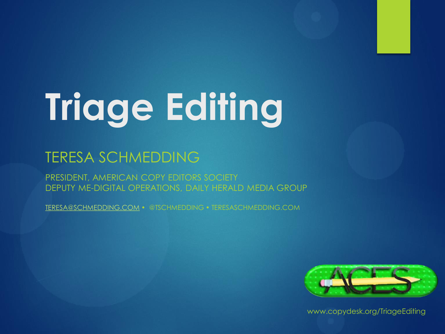# **Triage Editing**

#### TERESA SCHMEDDING

PRESIDENT, AMERICAN COPY EDITORS SOCIETY DEPUTY ME-DIGITAL OPERATIONS, DAILY HERALD MEDIA GROUP

[TERESA@SCHMEDDING.COM](mailto:Teresa@Schmedding.com) • @TSCHMEDDING • TERESASCHMEDDING.COM

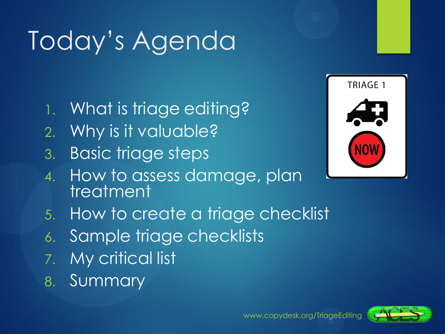## Today's Agenda

- 1. What is triage editing?
- 2. Why is it valuable?
- 3. Basic triage steps





- 6. Sample triage checklists
- 7. My critical list
- 8. Summary



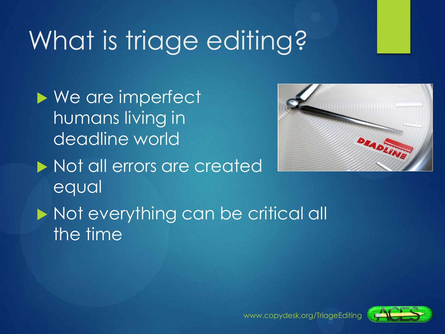## What is triage editing?

▶ We are imperfect humans living in deadline world

equal

 $\blacktriangleright$  Not all errors are created



Not everything can be critical all the time

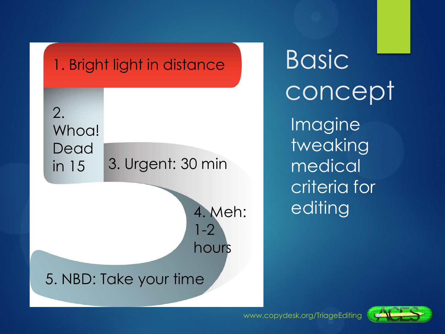

**Basic** concept

Imagine tweaking medical criteria for editing

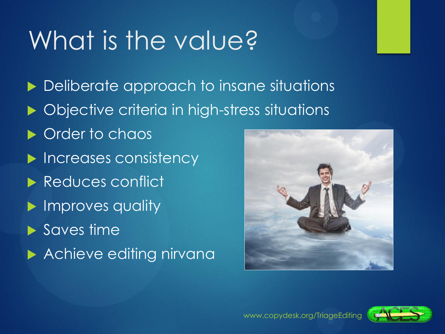### What is the value?

**Deliberate approach to insane situations** ▶ Objective criteria in high-stress situations **Crder to chaos Increases consistency** Reduces conflict **Improves quality** ▶ Saves time **Achieve editing nirvana** 

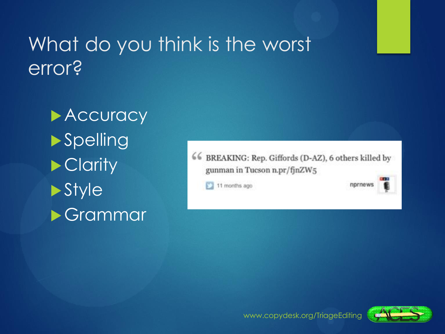### What do you think is the worst error?

**Accuracy Spelling** ▶ Clarity **>Style** Grammar

66 BREAKING: Rep. Giffords (D-AZ), 6 others killed by gunman in Tucson n.pr/fjnZW5

11 months ago

nprnews

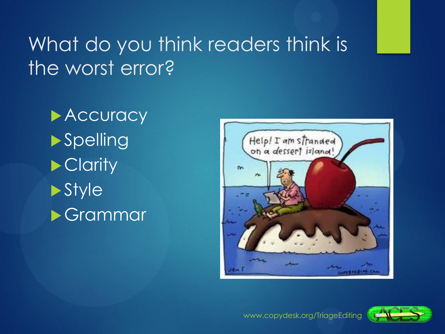### What do you think readers think is the worst error?

**Accuracy Spelling Clarity Style** Grammar



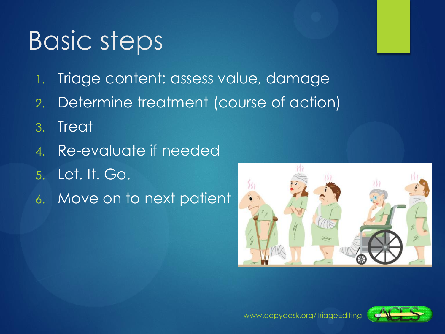### **Basic steps**

- 1. Triage content: assess value, damage
- 2. Determine treatment (course of action)
- 3. Treat
- 4. Re-evaluate if needed
- 5. Let. It. Go.
- 6. Move on to next patient



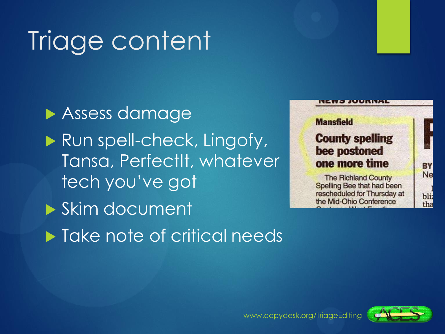## Triage content

**Assess damage** Run spell-check, Lingofy, Tansa, PerfectIt, whatever tech you've got Skim document **Take note of critical needs** 



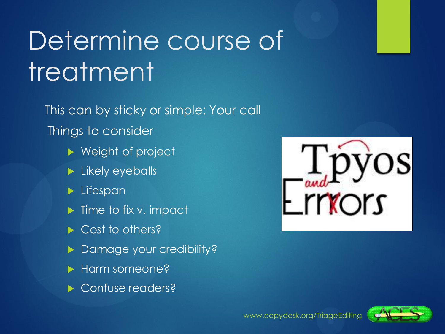## Determine course of treatment

This can by sticky or simple: Your call Things to consider

- ▶ Weight of project
- **Likely eyeballs**
- $\blacktriangleright$  Lifespan
- $\blacktriangleright$  Time to fix v. impact
- Cost to others?
- **Damage your credibility?**
- **Harm someone?**
- ▶ Confuse readers?



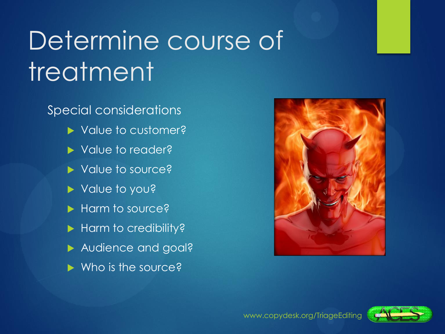### Determine course of **treatment**

Special considerations

- ▶ Value to customer?
- ▶ Value to reader?
- ▶ Value to source?
- Value to you?
- Harm to source?
- Harm to credibility?
- Audience and goal?
- $\blacktriangleright$  Who is the source?



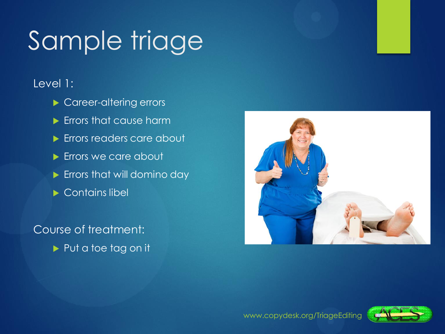## Sample triage

#### Level 1:

- Career-altering errors
- **Errors that cause harm**
- **Errors readers care about**
- **Errors we care about**
- **Errors that will domino day**
- ▶ Contains libel

#### Course of treatment:

Put a toe tag on it



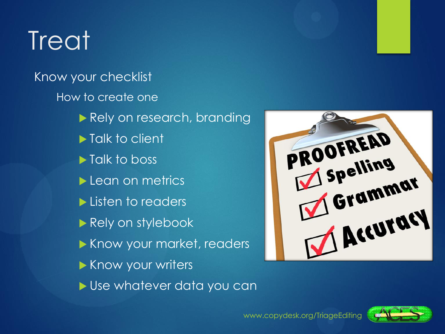### **Treat**

Know your checklist How to create one Rely on research, branding **Talk to client Talk to boss** Lean on metrics Listen to readers Rely on stylebook Know your market, readers Know your writers Use whatever data you can



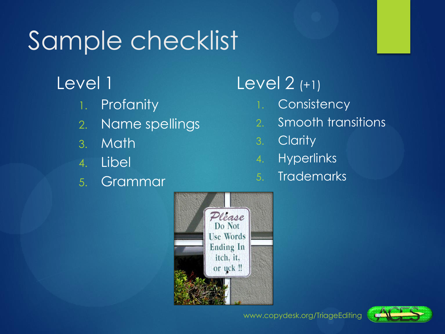### Sample checklist

#### Level 1

- 1. Profanity
- 2. Name spellings
- 3. Math
- 4. Libel
- 5. Grammar

#### Level 2 (+1)

- 1. Consistency
- 2. Smooth transitions
- 3. Clarity
- 4. Hyperlinks
- 5. Trademarks



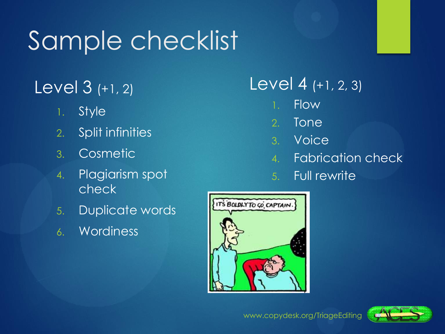### Sample checklist

#### Level 3 (+1, 2)

- 1. Style
- 2. Split infinities
- 3. Cosmetic
- 4. Plagiarism spot check
- 5. Duplicate words
- 6. Wordiness

#### Level 4 (+1, 2, 3)

- 1. Flow
- 2. Tone
- 3. Voice
- 4. Fabrication check
- 5. Full rewrite



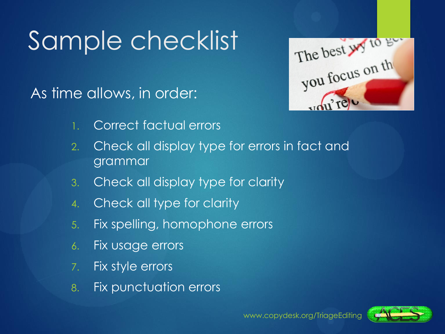### Sample checklist

As time allows, in order:

The best wy to get

- 1. Correct factual errors
- 2. Check all display type for errors in fact and grammar
- 3. Check all display type for clarity
- 4. Check all type for clarity
- 5. Fix spelling, homophone errors
- 6. Fix usage errors
- 7. Fix style errors
- 8. Fix punctuation errors

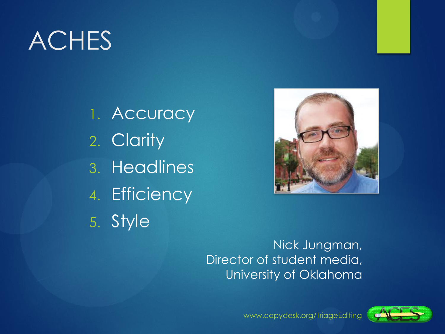### ACHES

1. Accuracy 2. Clarity 3. Headlines 4. Efficiency 5. Style



#### Nick Jungman, Director of student media, University of Oklahoma

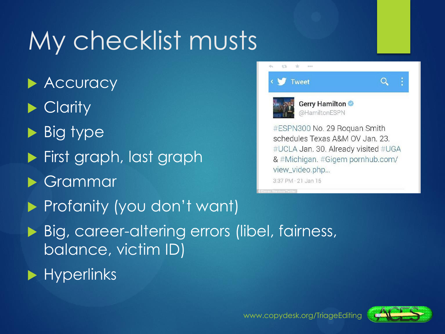### My checklist musts

**Accuracy** Clarity  $\blacktriangleright$  Big type **First graph, last graph**  Grammar  $3:37$  PM  $\cdot$  21 Jan 15 **Profanity (you don't want)** ▶ Big, career-altering errors (libel, fairness, balance, victim ID)  $\blacktriangleright$  Hyperlinks



& #Michigan. #Gigem pornhub.com/ view\_video.php...

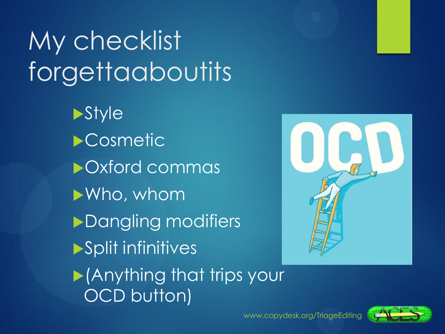## My checklist forgettaaboutits

**Style Cosmetic** Oxford commas Who, whom **Dangling modifiers** Split infinitives



**Anything that trips your** OCD button)

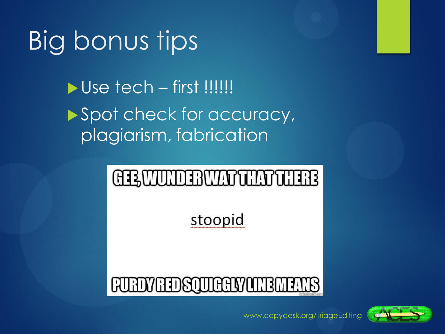### Big bonus tips

 $\blacktriangleright$  Use tech – first !!!!!!! Spot check for accuracy, plagiarism, fabrication

### CILWUNDIBWATUNTUIRE

stoopid

### **FURDY RIDSQUIGGLY LINE**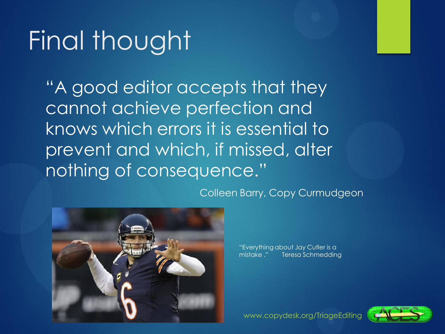### Final thought

"A good editor accepts that they cannot achieve perfection and knows which errors it is essential to prevent and which, if missed, alter nothing of consequence."

Colleen Barry, Copy Curmudgeon



"Everything about Jay Cutler is a mistake ." Teresa Schmedding